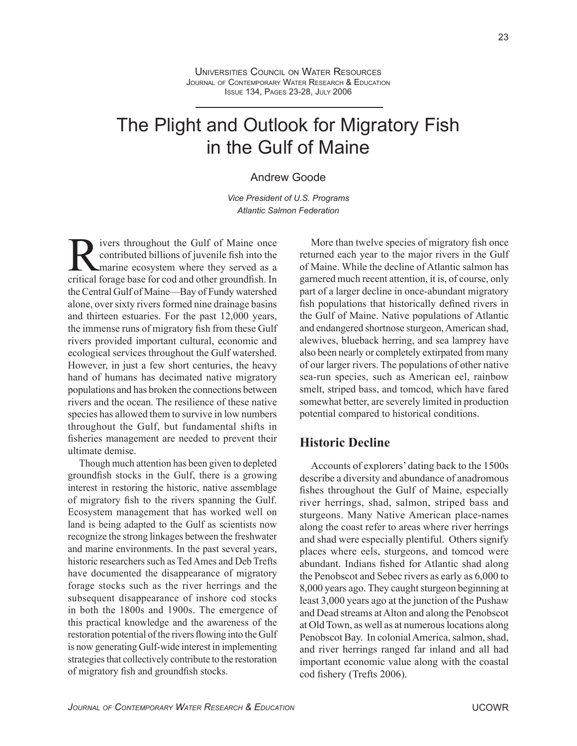Universities Council on Water Resources JOURNAL OF CONTEMPORARY WATER RESEARCH & EDUCATION Issue 134, Pages 23-28, July 2006

# The Plight and Outlook for Migratory Fish in the Gulf of Maine

### Andrew Goode

*Vice President of U.S. Programs Atlantic Salmon Federation*

Rivers throughout the Gulf of Maine once<br>contributed billions of juvenile fish into the<br>marine ecosystem where they served as a<br>critical forage base for cod and other groundfish In contributed billions of juvenile fish into the marine ecosystem where they served as a critical forage base for cod and other groundfish. In the Central Gulf of Maine—Bay of Fundy watershed alone, over sixty rivers formed nine drainage basins and thirteen estuaries. For the past 12,000 years, the immense runs of migratory fish from these Gulf rivers provided important cultural, economic and ecological services throughout the Gulf watershed. However, in just a few short centuries, the heavy hand of humans has decimated native migratory populations and has broken the connections between rivers and the ocean. The resilience of these native species has allowed them to survive in low numbers throughout the Gulf, but fundamental shifts in fisheries management are needed to prevent their ultimate demise.

Though much attention has been given to depleted groundfish stocks in the Gulf, there is a growing interest in restoring the historic, native assemblage of migratory fish to the rivers spanning the Gulf. Ecosystem management that has worked well on land is being adapted to the Gulf as scientists now recognize the strong linkages between the freshwater and marine environments. In the past several years, historic researchers such as Ted Ames and Deb Trefts have documented the disappearance of migratory forage stocks such as the river herrings and the subsequent disappearance of inshore cod stocks in both the 1800s and 1900s. The emergence of this practical knowledge and the awareness of the restoration potential of the rivers flowing into the Gulf is now generating Gulf-wide interest in implementing strategies that collectively contribute to the restoration of migratory fish and groundfish stocks.

More than twelve species of migratory fish once returned each year to the major rivers in the Gulf of Maine. While the decline of Atlantic salmon has garnered much recent attention, it is, of course, only part of a larger decline in once-abundant migratory fish populations that historically defined rivers in the Gulf of Maine. Native populations of Atlantic and endangered shortnose sturgeon, American shad, alewives, blueback herring, and sea lamprey have also been nearly or completely extirpated from many of our larger rivers. The populations of other native sea-run species, such as American eel, rainbow smelt, striped bass, and tomcod, which have fared somewhat better, are severely limited in production potential compared to historical conditions.

# **Historic Decline**

Accounts of explorers' dating back to the 1500s describe a diversity and abundance of anadromous fishes throughout the Gulf of Maine, especially river herrings, shad, salmon, striped bass and sturgeons. Many Native American place-names along the coast refer to areas where river herrings and shad were especially plentiful. Others signify places where eels, sturgeons, and tomcod were abundant. Indians fished for Atlantic shad along the Penobscot and Sebec rivers as early as 6,000 to 8,000 years ago. They caught sturgeon beginning at least 3,000 years ago at the junction of the Pushaw and Dead streams at Alton and along the Penobscot at Old Town, as well as at numerous locations along Penobscot Bay. In colonial America, salmon, shad, and river herrings ranged far inland and all had important economic value along with the coastal cod fishery (Trefts 2006).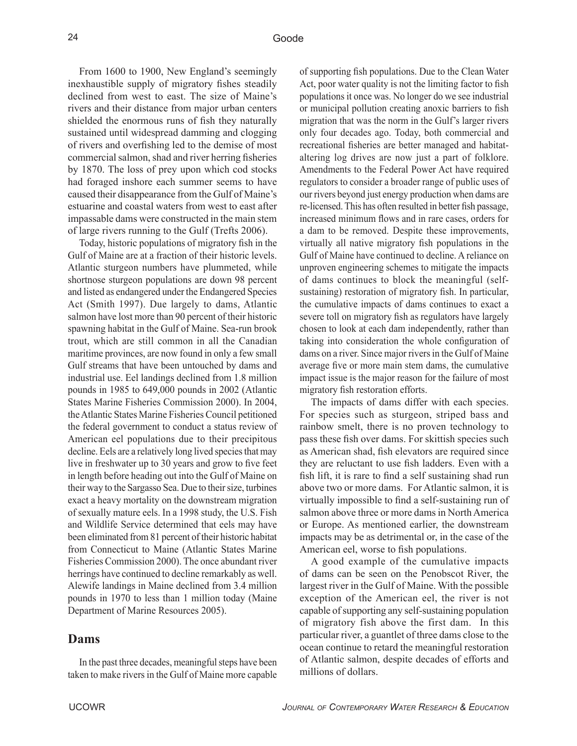From 1600 to 1900, New England's seemingly inexhaustible supply of migratory fishes steadily declined from west to east. The size of Maine's rivers and their distance from major urban centers shielded the enormous runs of fish they naturally sustained until widespread damming and clogging of rivers and overfishing led to the demise of most commercial salmon, shad and river herring fisheries by 1870. The loss of prey upon which cod stocks had foraged inshore each summer seems to have caused their disappearance from the Gulf of Maine's estuarine and coastal waters from west to east after impassable dams were constructed in the main stem of large rivers running to the Gulf (Trefts 2006).

Today, historic populations of migratory fish in the Gulf of Maine are at a fraction of their historic levels. Atlantic sturgeon numbers have plummeted, while shortnose sturgeon populations are down 98 percent and listed as endangered under the Endangered Species Act (Smith 1997). Due largely to dams, Atlantic salmon have lost more than 90 percent of their historic spawning habitat in the Gulf of Maine. Sea-run brook trout, which are still common in all the Canadian maritime provinces, are now found in only a few small Gulf streams that have been untouched by dams and industrial use. Eel landings declined from 1.8 million pounds in 1985 to 649,000 pounds in 2002 (Atlantic States Marine Fisheries Commission 2000). In 2004, the Atlantic States Marine Fisheries Council petitioned the federal government to conduct a status review of American eel populations due to their precipitous decline. Eels are a relatively long lived species that may live in freshwater up to 30 years and grow to five feet in length before heading out into the Gulf of Maine on their way to the Sargasso Sea. Due to their size, turbines exact a heavy mortality on the downstream migration of sexually mature eels. In a 1998 study, the U.S. Fish and Wildlife Service determined that eels may have been eliminated from 81 percent of their historic habitat from Connecticut to Maine (Atlantic States Marine Fisheries Commission 2000). The once abundant river herrings have continued to decline remarkably as well. Alewife landings in Maine declined from 3.4 million pounds in 1970 to less than 1 million today (Maine Department of Marine Resources 2005).

## **Dams**

In the past three decades, meaningful steps have been taken to make rivers in the Gulf of Maine more capable of supporting fish populations. Due to the Clean Water Act, poor water quality is not the limiting factor to fish populations it once was. No longer do we see industrial or municipal pollution creating anoxic barriers to fish migration that was the norm in the Gulf's larger rivers only four decades ago. Today, both commercial and recreational fisheries are better managed and habitataltering log drives are now just a part of folklore. Amendments to the Federal Power Act have required regulators to consider a broader range of public uses of our rivers beyond just energy production when dams are re-licensed. This has often resulted in better fish passage, increased minimum flows and in rare cases, orders for a dam to be removed. Despite these improvements, virtually all native migratory fish populations in the Gulf of Maine have continued to decline. A reliance on unproven engineering schemes to mitigate the impacts of dams continues to block the meaningful (selfsustaining) restoration of migratory fish. In particular, the cumulative impacts of dams continues to exact a severe toll on migratory fish as regulators have largely chosen to look at each dam independently, rather than taking into consideration the whole configuration of dams on a river. Since major rivers in the Gulf of Maine average five or more main stem dams, the cumulative impact issue is the major reason for the failure of most migratory fish restoration efforts.

The impacts of dams differ with each species. For species such as sturgeon, striped bass and rainbow smelt, there is no proven technology to pass these fish over dams. For skittish species such as American shad, fish elevators are required since they are reluctant to use fish ladders. Even with a fish lift, it is rare to find a self sustaining shad run above two or more dams. For Atlantic salmon, it is virtually impossible to find a self-sustaining run of salmon above three or more dams in North America or Europe. As mentioned earlier, the downstream impacts may be as detrimental or, in the case of the American eel, worse to fish populations.

A good example of the cumulative impacts of dams can be seen on the Penobscot River, the largest river in the Gulf of Maine. With the possible exception of the American eel, the river is not capable of supporting any self-sustaining population of migratory fish above the first dam. In this particular river, a guantlet of three dams close to the ocean continue to retard the meaningful restoration of Atlantic salmon, despite decades of efforts and millions of dollars.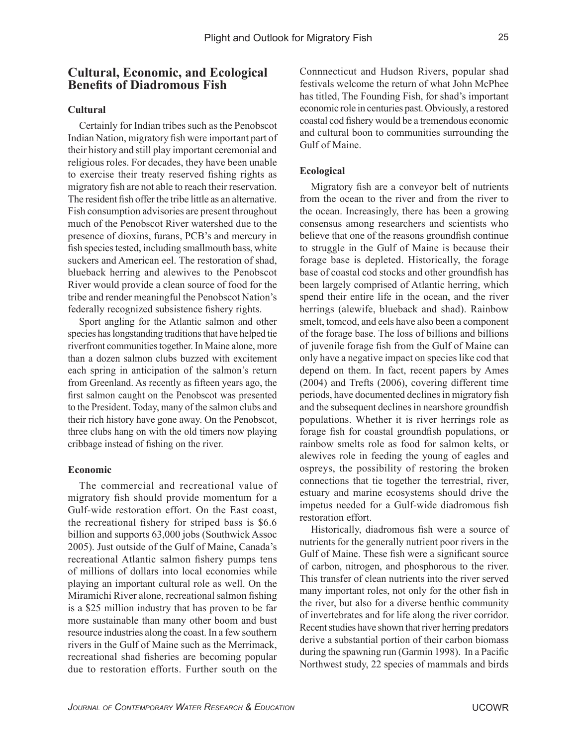## **Cultural, Economic, and Ecological Benefits of Diadromous Fish**

#### **Cultural**

Certainly for Indian tribes such as the Penobscot Indian Nation, migratory fish were important part of their history and still play important ceremonial and religious roles. For decades, they have been unable to exercise their treaty reserved fishing rights as migratory fish are not able to reach their reservation. The resident fish offer the tribe little as an alternative. Fish consumption advisories are present throughout much of the Penobscot River watershed due to the presence of dioxins, furans, PCB's and mercury in fish species tested, including smallmouth bass, white suckers and American eel. The restoration of shad, blueback herring and alewives to the Penobscot River would provide a clean source of food for the tribe and render meaningful the Penobscot Nation's federally recognized subsistence fishery rights.

Sport angling for the Atlantic salmon and other species has longstanding traditions that have helped tie riverfront communities together. In Maine alone, more than a dozen salmon clubs buzzed with excitement each spring in anticipation of the salmon's return from Greenland. As recently as fifteen years ago, the first salmon caught on the Penobscot was presented to the President. Today, many of the salmon clubs and their rich history have gone away. On the Penobscot, three clubs hang on with the old timers now playing cribbage instead of fishing on the river.

#### **Economic**

The commercial and recreational value of migratory fish should provide momentum for a Gulf-wide restoration effort. On the East coast, the recreational fishery for striped bass is \$6.6 billion and supports 63,000 jobs (Southwick Assoc 2005). Just outside of the Gulf of Maine, Canada's recreational Atlantic salmon fishery pumps tens of millions of dollars into local economies while playing an important cultural role as well. On the Miramichi River alone, recreational salmon fishing is a \$25 million industry that has proven to be far more sustainable than many other boom and bust resource industries along the coast. In a few southern rivers in the Gulf of Maine such as the Merrimack, recreational shad fisheries are becoming popular due to restoration efforts. Further south on the Connnecticut and Hudson Rivers, popular shad festivals welcome the return of what John McPhee has titled, The Founding Fish, for shad's important economic role in centuries past. Obviously, a restored coastal cod fishery would be a tremendous economic and cultural boon to communities surrounding the Gulf of Maine.

#### **Ecological**

Migratory fish are a conveyor belt of nutrients from the ocean to the river and from the river to the ocean. Increasingly, there has been a growing consensus among researchers and scientists who believe that one of the reasons groundfish continue to struggle in the Gulf of Maine is because their forage base is depleted. Historically, the forage base of coastal cod stocks and other groundfish has been largely comprised of Atlantic herring, which spend their entire life in the ocean, and the river herrings (alewife, blueback and shad). Rainbow smelt, tomcod, and eels have also been a component of the forage base. The loss of billions and billions of juvenile forage fish from the Gulf of Maine can only have a negative impact on species like cod that depend on them. In fact, recent papers by Ames (2004) and Trefts (2006), covering different time periods, have documented declines in migratory fish and the subsequent declines in nearshore groundfish populations. Whether it is river herrings role as forage fish for coastal groundfish populations, or rainbow smelts role as food for salmon kelts, or alewives role in feeding the young of eagles and ospreys, the possibility of restoring the broken connections that tie together the terrestrial, river, estuary and marine ecosystems should drive the impetus needed for a Gulf-wide diadromous fish restoration effort.

Historically, diadromous fish were a source of nutrients for the generally nutrient poor rivers in the Gulf of Maine. These fish were a significant source of carbon, nitrogen, and phosphorous to the river. This transfer of clean nutrients into the river served many important roles, not only for the other fish in the river, but also for a diverse benthic community of invertebrates and for life along the river corridor. Recent studies have shown that river herring predators derive a substantial portion of their carbon biomass during the spawning run (Garmin 1998). In a Pacific Northwest study, 22 species of mammals and birds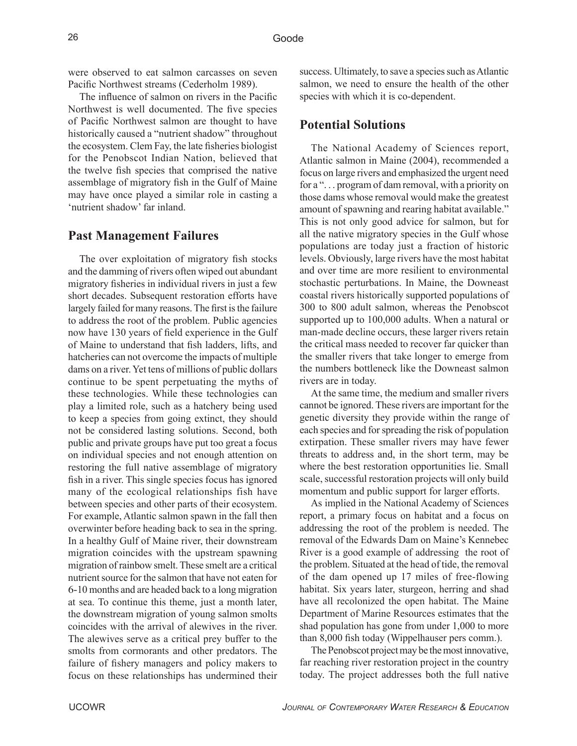were observed to eat salmon carcasses on seven Pacific Northwest streams (Cederholm 1989).

The influence of salmon on rivers in the Pacific Northwest is well documented. The five species of Pacific Northwest salmon are thought to have historically caused a "nutrient shadow" throughout the ecosystem. Clem Fay, the late fisheries biologist for the Penobscot Indian Nation, believed that the twelve fish species that comprised the native assemblage of migratory fish in the Gulf of Maine may have once played a similar role in casting a 'nutrient shadow' far inland.

## **Past Management Failures**

The over exploitation of migratory fish stocks and the damming of rivers often wiped out abundant migratory fisheries in individual rivers in just a few short decades. Subsequent restoration efforts have largely failed for many reasons. The first is the failure to address the root of the problem. Public agencies now have 130 years of field experience in the Gulf of Maine to understand that fish ladders, lifts, and hatcheries can not overcome the impacts of multiple dams on a river. Yet tens of millions of public dollars continue to be spent perpetuating the myths of these technologies. While these technologies can play a limited role, such as a hatchery being used to keep a species from going extinct, they should not be considered lasting solutions. Second, both public and private groups have put too great a focus on individual species and not enough attention on restoring the full native assemblage of migratory fish in a river. This single species focus has ignored many of the ecological relationships fish have between species and other parts of their ecosystem. For example, Atlantic salmon spawn in the fall then overwinter before heading back to sea in the spring. In a healthy Gulf of Maine river, their downstream migration coincides with the upstream spawning migration of rainbow smelt. These smelt are a critical nutrient source for the salmon that have not eaten for 6-10 months and are headed back to a long migration at sea. To continue this theme, just a month later, the downstream migration of young salmon smolts coincides with the arrival of alewives in the river. The alewives serve as a critical prey buffer to the smolts from cormorants and other predators. The failure of fishery managers and policy makers to focus on these relationships has undermined their success. Ultimately, to save a species such as Atlantic salmon, we need to ensure the health of the other species with which it is co-dependent.

# **Potential Solutions**

The National Academy of Sciences report, Atlantic salmon in Maine (2004), recommended a focus on large rivers and emphasized the urgent need for a ". . . program of dam removal, with a priority on those dams whose removal would make the greatest amount of spawning and rearing habitat available." This is not only good advice for salmon, but for all the native migratory species in the Gulf whose populations are today just a fraction of historic levels. Obviously, large rivers have the most habitat and over time are more resilient to environmental stochastic perturbations. In Maine, the Downeast coastal rivers historically supported populations of 300 to 800 adult salmon, whereas the Penobscot supported up to 100,000 adults. When a natural or man-made decline occurs, these larger rivers retain the critical mass needed to recover far quicker than the smaller rivers that take longer to emerge from the numbers bottleneck like the Downeast salmon rivers are in today.

At the same time, the medium and smaller rivers cannot be ignored. These rivers are important for the genetic diversity they provide within the range of each species and for spreading the risk of population extirpation. These smaller rivers may have fewer threats to address and, in the short term, may be where the best restoration opportunities lie. Small scale, successful restoration projects will only build momentum and public support for larger efforts.

As implied in the National Academy of Sciences report, a primary focus on habitat and a focus on addressing the root of the problem is needed. The removal of the Edwards Dam on Maine's Kennebec River is a good example of addressing the root of the problem. Situated at the head of tide, the removal of the dam opened up 17 miles of free-flowing habitat. Six years later, sturgeon, herring and shad have all recolonized the open habitat. The Maine Department of Marine Resources estimates that the shad population has gone from under 1,000 to more than 8,000 fish today (Wippelhauser pers comm.).

The Penobscot project may be the most innovative, far reaching river restoration project in the country today. The project addresses both the full native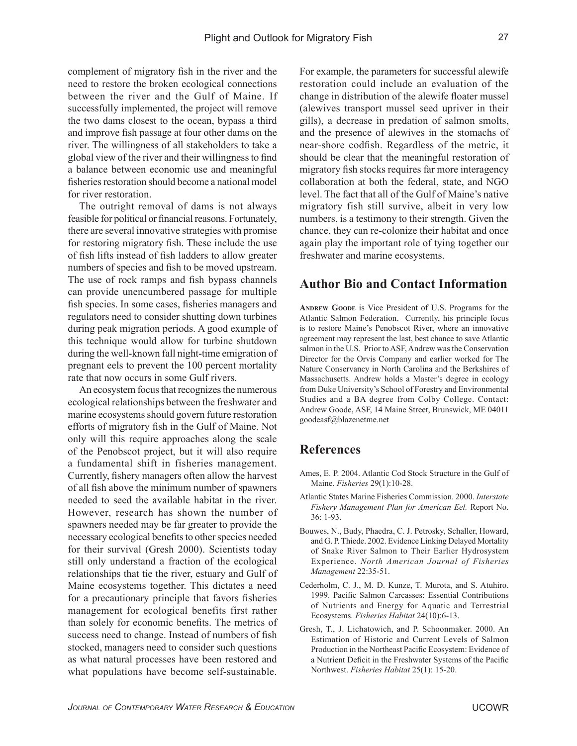complement of migratory fish in the river and the need to restore the broken ecological connections between the river and the Gulf of Maine. If successfully implemented, the project will remove the two dams closest to the ocean, bypass a third and improve fish passage at four other dams on the river. The willingness of all stakeholders to take a global view of the river and their willingness to find a balance between economic use and meaningful fisheries restoration should become a national model for river restoration.

The outright removal of dams is not always feasible for political or financial reasons. Fortunately, there are several innovative strategies with promise for restoring migratory fish. These include the use of fish lifts instead of fish ladders to allow greater numbers of species and fish to be moved upstream. The use of rock ramps and fish bypass channels can provide unencumbered passage for multiple fish species. In some cases, fisheries managers and regulators need to consider shutting down turbines during peak migration periods. A good example of this technique would allow for turbine shutdown during the well-known fall night-time emigration of pregnant eels to prevent the 100 percent mortality rate that now occurs in some Gulf rivers.

An ecosystem focus that recognizes the numerous ecological relationships between the freshwater and marine ecosystems should govern future restoration efforts of migratory fish in the Gulf of Maine. Not only will this require approaches along the scale of the Penobscot project, but it will also require a fundamental shift in fisheries management. Currently, fishery managers often allow the harvest of all fish above the minimum number of spawners needed to seed the available habitat in the river. However, research has shown the number of spawners needed may be far greater to provide the necessary ecological benefits to other species needed for their survival (Gresh 2000). Scientists today still only understand a fraction of the ecological relationships that tie the river, estuary and Gulf of Maine ecosystems together. This dictates a need for a precautionary principle that favors fisheries management for ecological benefits first rather than solely for economic benefits. The metrics of success need to change. Instead of numbers of fish stocked, managers need to consider such questions as what natural processes have been restored and what populations have become self-sustainable.

For example, the parameters for successful alewife restoration could include an evaluation of the change in distribution of the alewife floater mussel (alewives transport mussel seed upriver in their gills), a decrease in predation of salmon smolts, and the presence of alewives in the stomachs of near-shore codfish. Regardless of the metric, it should be clear that the meaningful restoration of migratory fish stocks requires far more interagency collaboration at both the federal, state, and NGO level. The fact that all of the Gulf of Maine's native migratory fish still survive, albeit in very low numbers, is a testimony to their strength. Given the chance, they can re-colonize their habitat and once again play the important role of tying together our freshwater and marine ecosystems.

# **Author Bio and Contact Information**

**Andrew Goode** is Vice President of U.S. Programs for the Atlantic Salmon Federation. Currently, his principle focus is to restore Maine's Penobscot River, where an innovative agreement may represent the last, best chance to save Atlantic salmon in the U.S. Prior to ASF, Andrew was the Conservation Director for the Orvis Company and earlier worked for The Nature Conservancy in North Carolina and the Berkshires of Massachusetts. Andrew holds a Master's degree in ecology from Duke University's School of Forestry and Environmental Studies and a BA degree from Colby College. Contact: Andrew Goode, ASF, 14 Maine Street, Brunswick, ME 04011 goodeasf@blazenetme.net

## **References**

- Ames, E. P. 2004. Atlantic Cod Stock Structure in the Gulf of Maine. *Fisheries* 29(1):10-28.
- Atlantic States Marine Fisheries Commission. 2000. *Interstate Fishery Management Plan for American Eel.* Report No. 36: 1-93.
- Bouwes, N., Budy, Phaedra, C. J. Petrosky, Schaller, Howard, and G. P. Thiede. 2002. Evidence Linking Delayed Mortality of Snake River Salmon to Their Earlier Hydrosystem Experience. *North American Journal of Fisheries Management* 22:35-51.
- Cederholm, C. J., M. D. Kunze, T. Murota, and S. Atuhiro. 1999. Pacific Salmon Carcasses: Essential Contributions of Nutrients and Energy for Aquatic and Terrestrial Ecosystems. *Fisheries Habitat* 24(10):6-13.
- Gresh, T., J. Lichatowich, and P. Schoonmaker. 2000. An Estimation of Historic and Current Levels of Salmon Production in the Northeast Pacific Ecosystem: Evidence of a Nutrient Deficit in the Freshwater Systems of the Pacific Northwest. *Fisheries Habitat* 25(1): 15-20.